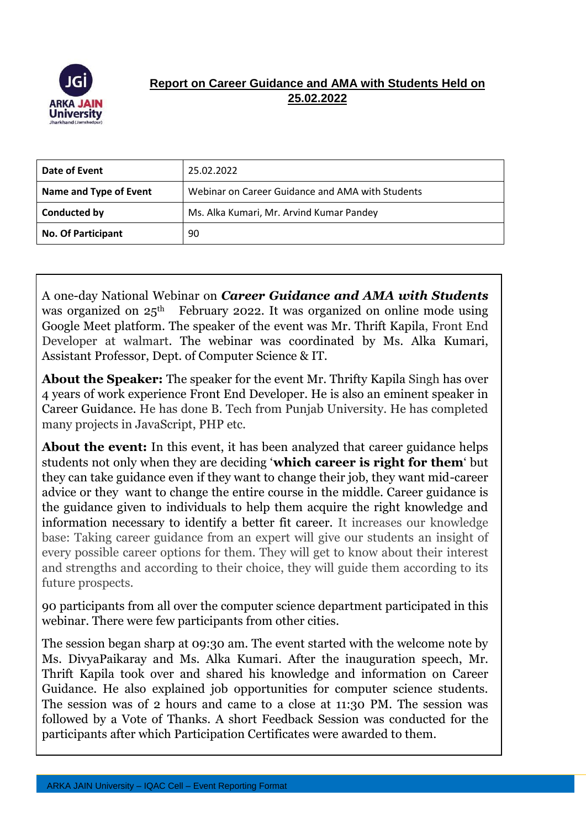

## **Report on Career Guidance and AMA with Students Held on 25.02.2022**

| Date of Event             | 25.02.2022                                       |
|---------------------------|--------------------------------------------------|
| Name and Type of Event    | Webinar on Career Guidance and AMA with Students |
| <b>Conducted by</b>       | Ms. Alka Kumari, Mr. Arvind Kumar Pandey         |
| <b>No. Of Participant</b> | 90                                               |

A one-day National Webinar on *Career Guidance and AMA with Students* was organized on  $25<sup>th</sup>$  February 2022. It was organized on online mode using Google Meet platform. The speaker of the event was Mr. Thrift Kapila, Front End Developer at walmart. The webinar was coordinated by Ms. Alka Kumari, Assistant Professor, Dept. of Computer Science & IT.

**About the Speaker:** The speaker for the event Mr. Thrifty Kapila Singh has over 4 years of work experience Front End Developer. He is also an eminent speaker in Career Guidance. He has done B. Tech from Punjab University. He has completed many projects in JavaScript, PHP etc.

About the event: In this event, it has been analyzed that career guidance helps students not only when they are deciding '**which career is right for them**' but they can take guidance even if they want to change their job, they want mid-career advice or they want to change the entire course in the middle. Career guidance is the guidance given to individuals to help them acquire the right knowledge and information necessary to identify a better fit career. It increases our knowledge base: Taking career guidance from an expert will give our students an insight of every possible career options for them. They will get to know about their interest and strengths and according to their choice, they will guide them according to its future prospects.

90 participants from all over the computer science department participated in this webinar. There were few participants from other cities.

The session began sharp at 09:30 am. The event started with the welcome note by Ms. DivyaPaikaray and Ms. Alka Kumari. After the inauguration speech, Mr. Thrift Kapila took over and shared his knowledge and information on Career Guidance. He also explained job opportunities for computer science students. The session was of 2 hours and came to a close at 11:30 PM. The session was followed by a Vote of Thanks. A short Feedback Session was conducted for the participants after which Participation Certificates were awarded to them.